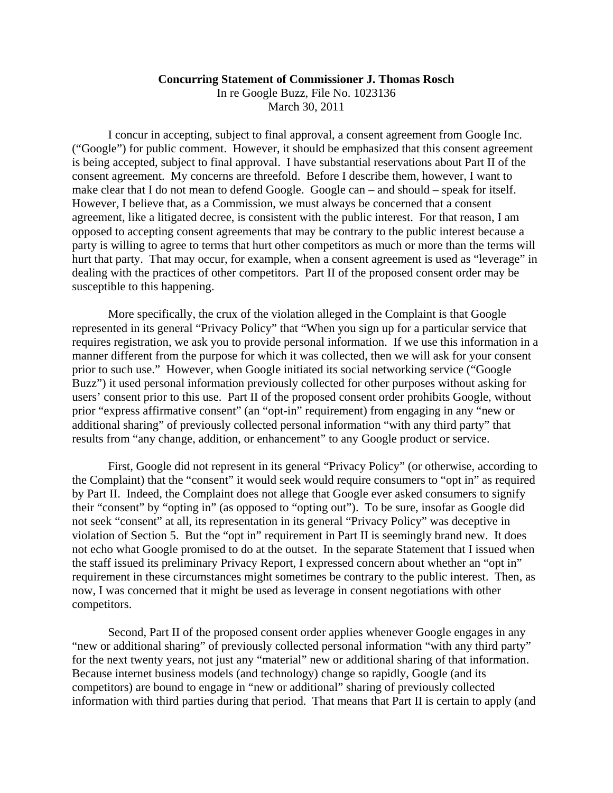## **Concurring Statement of Commissioner J. Thomas Rosch**

In re Google Buzz, File No. 1023136 March 30, 2011

I concur in accepting, subject to final approval, a consent agreement from Google Inc. ("Google") for public comment. However, it should be emphasized that this consent agreement is being accepted, subject to final approval. I have substantial reservations about Part II of the consent agreement. My concerns are threefold. Before I describe them, however, I want to make clear that I do not mean to defend Google. Google can – and should – speak for itself. However, I believe that, as a Commission, we must always be concerned that a consent agreement, like a litigated decree, is consistent with the public interest. For that reason, I am opposed to accepting consent agreements that may be contrary to the public interest because a party is willing to agree to terms that hurt other competitors as much or more than the terms will hurt that party. That may occur, for example, when a consent agreement is used as "leverage" in dealing with the practices of other competitors. Part II of the proposed consent order may be susceptible to this happening.

More specifically, the crux of the violation alleged in the Complaint is that Google represented in its general "Privacy Policy" that "When you sign up for a particular service that requires registration, we ask you to provide personal information. If we use this information in a manner different from the purpose for which it was collected, then we will ask for your consent prior to such use." However, when Google initiated its social networking service ("Google Buzz") it used personal information previously collected for other purposes without asking for users' consent prior to this use. Part II of the proposed consent order prohibits Google, without prior "express affirmative consent" (an "opt-in" requirement) from engaging in any "new or additional sharing" of previously collected personal information "with any third party" that results from "any change, addition, or enhancement" to any Google product or service.

First, Google did not represent in its general "Privacy Policy" (or otherwise, according to the Complaint) that the "consent" it would seek would require consumers to "opt in" as required by Part II. Indeed, the Complaint does not allege that Google ever asked consumers to signify their "consent" by "opting in" (as opposed to "opting out"). To be sure, insofar as Google did not seek "consent" at all, its representation in its general "Privacy Policy" was deceptive in violation of Section 5. But the "opt in" requirement in Part II is seemingly brand new. It does not echo what Google promised to do at the outset. In the separate Statement that I issued when the staff issued its preliminary Privacy Report, I expressed concern about whether an "opt in" requirement in these circumstances might sometimes be contrary to the public interest. Then, as now, I was concerned that it might be used as leverage in consent negotiations with other competitors.

Second, Part II of the proposed consent order applies whenever Google engages in any "new or additional sharing" of previously collected personal information "with any third party" for the next twenty years, not just any "material" new or additional sharing of that information. Because internet business models (and technology) change so rapidly, Google (and its competitors) are bound to engage in "new or additional" sharing of previously collected information with third parties during that period. That means that Part II is certain to apply (and